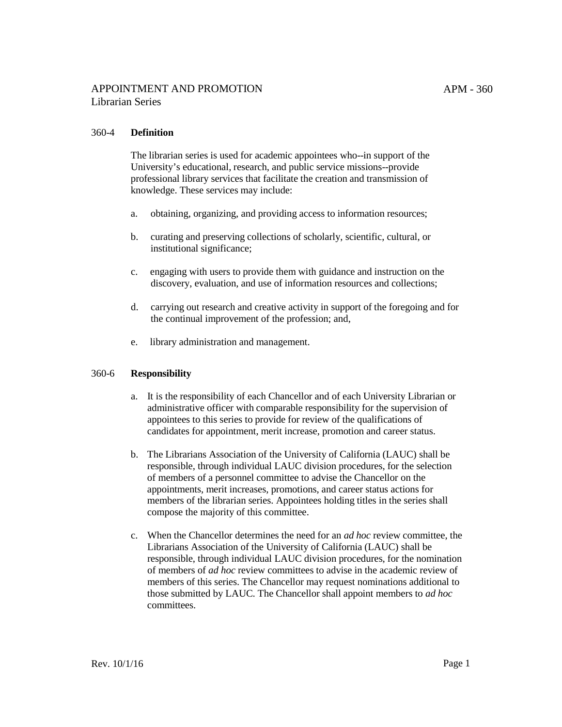#### 360-4 **Definition**

The librarian series is used for academic appointees who--in support of the University's educational, research, and public service missions--provide professional library services that facilitate the creation and transmission of knowledge. These services may include:

- a. obtaining, organizing, and providing access to information resources;
- b. curating and preserving collections of scholarly, scientific, cultural, or institutional significance;
- c. engaging with users to provide them with guidance and instruction on the discovery, evaluation, and use of information resources and collections;
- d. carrying out research and creative activity in support of the foregoing and for the continual improvement of the profession; and,
- e. library administration and management.

#### 360-6 **Responsibility**

- a. It is the responsibility of each Chancellor and of each University Librarian or administrative officer with comparable responsibility for the supervision of appointees to this series to provide for review of the qualifications of candidates for appointment, merit increase, promotion and career status.
- b. The Librarians Association of the University of California (LAUC) shall be responsible, through individual LAUC division procedures, for the selection of members of a personnel committee to advise the Chancellor on the appointments, merit increases, promotions, and career status actions for members of the librarian series. Appointees holding titles in the series shall compose the majority of this committee.
- c. When the Chancellor determines the need for an *ad hoc* review committee, the Librarians Association of the University of California (LAUC) shall be responsible, through individual LAUC division procedures, for the nomination of members of *ad hoc* review committees to advise in the academic review of members of this series. The Chancellor may request nominations additional to those submitted by LAUC. The Chancellor shall appoint members to *ad hoc* committees.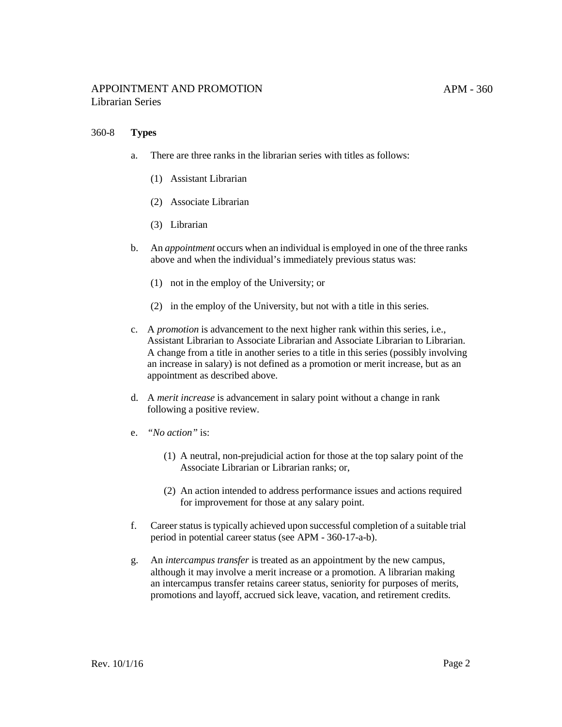### 360-8 **Types**

- a. There are three ranks in the librarian series with titles as follows:
	- (1) Assistant Librarian
	- (2) Associate Librarian
	- (3) Librarian
- b. An *appointment* occurs when an individual is employed in one of the three ranks above and when the individual's immediately previous status was:
	- (1) not in the employ of the University; or
	- (2) in the employ of the University, but not with a title in this series.
- c. A *promotion* is advancement to the next higher rank within this series, i.e., Assistant Librarian to Associate Librarian and Associate Librarian to Librarian. A change from a title in another series to a title in this series (possibly involving an increase in salary) is not defined as a promotion or merit increase, but as an appointment as described above.
- d. A *merit increase* is advancement in salary point without a change in rank following a positive review.
- e. *"No action"* is:
	- (1) A neutral, non-prejudicial action for those at the top salary point of the Associate Librarian or Librarian ranks; or,
	- (2) An action intended to address performance issues and actions required for improvement for those at any salary point.
- f. Career status istypically achieved upon successful completion of a suitable trial period in potential career status (see APM - 360-17-a-b).
- g. An *intercampus transfer* is treated as an appointment by the new campus, although it may involve a merit increase or a promotion. A librarian making an intercampus transfer retains career status, seniority for purposes of merits, promotions and layoff, accrued sick leave, vacation, and retirement credits.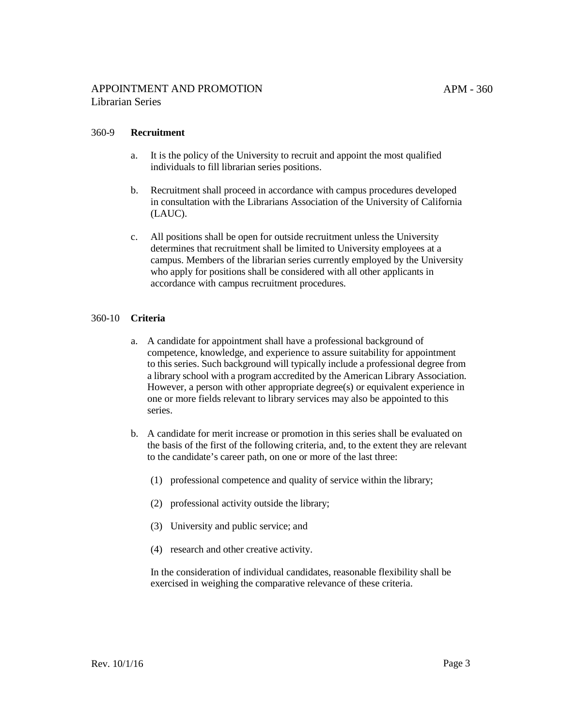## 360-9 **Recruitment**

- a. It is the policy of the University to recruit and appoint the most qualified individuals to fill librarian series positions.
- b. Recruitment shall proceed in accordance with campus procedures developed in consultation with the Librarians Association of the University of California (LAUC).
- c. All positions shall be open for outside recruitment unless the University determines that recruitment shall be limited to University employees at a campus. Members of the librarian series currently employed by the University who apply for positions shall be considered with all other applicants in accordance with campus recruitment procedures.

### 360-10 **Criteria**

- a. A candidate for appointment shall have a professional background of competence, knowledge, and experience to assure suitability for appointment to this series. Such background will typically include a professional degree from a library school with a program accredited by the American Library Association. However, a person with other appropriate degree(s) or equivalent experience in one or more fields relevant to library services may also be appointed to this series.
- b. A candidate for merit increase or promotion in this series shall be evaluated on the basis of the first of the following criteria, and, to the extent they are relevant to the candidate's career path, on one or more of the last three:
	- (1) professional competence and quality of service within the library;
	- (2) professional activity outside the library;
	- (3) University and public service; and
	- (4) research and other creative activity.

In the consideration of individual candidates, reasonable flexibility shall be exercised in weighing the comparative relevance of these criteria.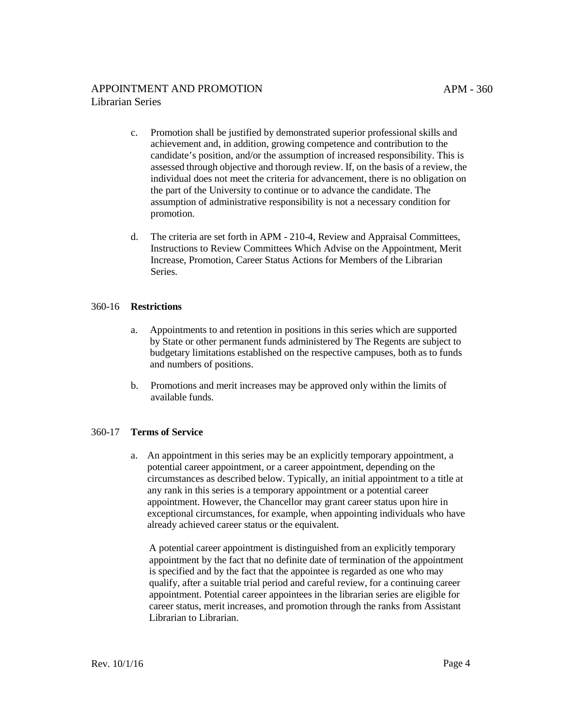- c. Promotion shall be justified by demonstrated superior professional skills and achievement and, in addition, growing competence and contribution to the candidate's position, and/or the assumption of increased responsibility. This is assessed through objective and thorough review. If, on the basis of a review, the individual does not meet the criteria for advancement, there is no obligation on the part of the University to continue or to advance the candidate. The assumption of administrative responsibility is not a necessary condition for promotion.
- d. The criteria are set forth in APM 210-4, Review and Appraisal [Committees,](http://www.ucop.edu/academic-personnel-programs/_files/apm/apm-210.pdf) Instructions to Review Committees Which Advise on the Appointment, Merit Increase, Promotion, Career Status Actions for Members of the Librarian Series.

### 360-16 **Restrictions**

- a. Appointments to and retention in positions in this series which are supported by State or other permanent funds administered by The Regents are subject to budgetary limitations established on the respective campuses, both as to funds and numbers of positions.
- b. Promotions and merit increases may be approved only within the limits of available funds.

## 360-17 **Terms of Service**

a. An appointment in this series may be an explicitly temporary appointment, a potential career appointment, or a career appointment, depending on the circumstances as described below. Typically, an initial appointment to a title at any rank in this series is a temporary appointment or a potential career appointment. However, the Chancellor may grant career status upon hire in exceptional circumstances, for example, when appointing individuals who have already achieved career status or the equivalent.

A potential career appointment is distinguished from an explicitly temporary appointment by the fact that no definite date of termination of the appointment is specified and by the fact that the appointee is regarded as one who may qualify, after a suitable trial period and careful review, for a continuing career appointment. Potential career appointees in the librarian series are eligible for career status, merit increases, and promotion through the ranks from Assistant Librarian to Librarian.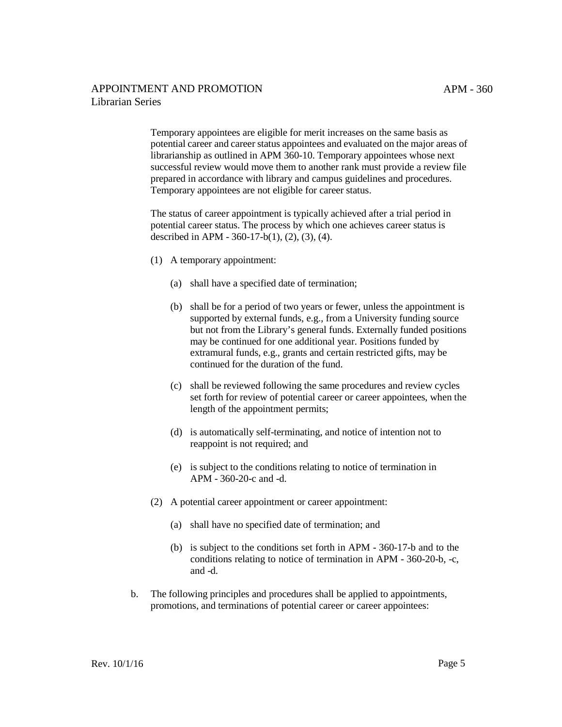Temporary appointees are eligible for merit increases on the same basis as potential career and career status appointees and evaluated on the major areas of librarianship as outlined in APM 360-10. Temporary appointees whose next successful review would move them to another rank must provide a review file prepared in accordance with library and campus guidelines and procedures. Temporary appointees are not eligible for career status.

The status of career appointment is typically achieved after a trial period in potential career status. The process by which one achieves career status is described in APM - 360-17-b(1), (2), (3), (4).

- (1) A temporary appointment:
	- (a) shall have a specified date of termination;
	- (b) shall be for a period of two years or fewer, unless the appointment is supported by external funds, e.g., from a University funding source but not from the Library's general funds. Externally funded positions may be continued for one additional year. Positions funded by extramural funds, e.g., grants and certain restricted gifts, may be continued for the duration of the fund.
	- (c) shall be reviewed following the same procedures and review cycles set forth for review of potential career or career appointees, when the length of the appointment permits;
	- (d) is automatically self-terminating, and notice of intention not to reappoint is not required; and
	- (e) is subject to the conditions relating to notice of termination in APM - 360-20-c and -d.
- (2) A potential career appointment or career appointment:
	- (a) shall have no specified date of termination; and
	- (b) is subject to the conditions set forth in APM 360-17-b and to the conditions relating to notice of termination in APM - 360-20-b, -c, and -d.
- b. The following principles and procedures shall be applied to appointments, promotions, and terminations of potential career or career appointees: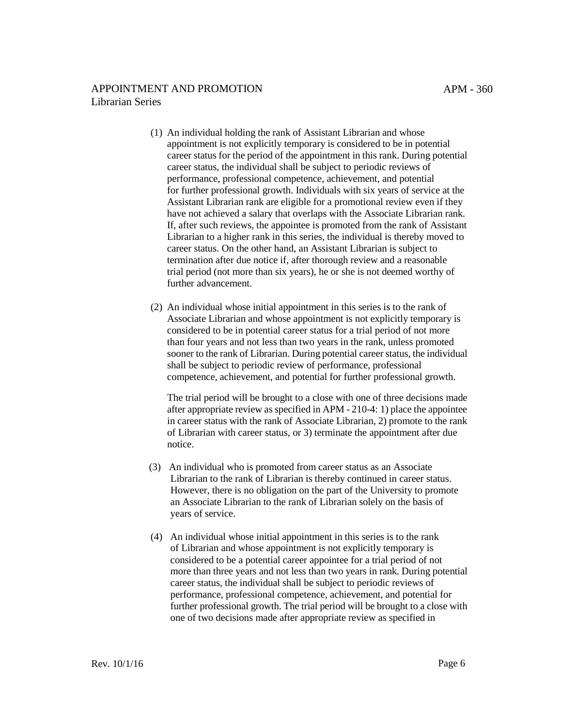- (1) An individual holding the rank of Assistant Librarian and whose appointment is not explicitly temporary is considered to be in potential career status for the period of the appointment in this rank. During potential career status, the individual shall be subject to periodic reviews of performance, professional competence, achievement, and potential for further professional growth. Individuals with six years of service at the Assistant Librarian rank are eligible for a promotional review even if they have not achieved a salary that overlaps with the Associate Librarian rank. If, after such reviews, the appointee is promoted from the rank of Assistant Librarian to a higher rank in this series, the individual is thereby moved to career status. On the other hand, an Assistant Librarian is subject to termination after due notice if, after thorough review and a reasonable trial period (not more than six years), he or she is not deemed worthy of further advancement.
- (2) An individual whose initial appointment in this series is to the rank of Associate Librarian and whose appointment is not explicitly temporary is considered to be in potential career status for a trial period of not more than four years and not less than two years in the rank, unless promoted sooner to the rank of Librarian. During potential career status, the individual shall be subject to periodic review of performance, professional competence, achievement, and potential for further professional growth.

The trial period will be brought to a close with one of three decisions made after appropriate review asspecified in APM - [210-4:](http://www.ucop.edu/academic-personnel-programs/_files/apm/apm-210.pdf) 1) place the appointee in career status with the rank of Associate Librarian, 2) promote to the rank of Librarian with career status, or 3) terminate the appointment after due notice.

- (3) An individual who is promoted from career status as an Associate Librarian to the rank of Librarian is thereby continued in career status. However, there is no obligation on the part of the University to promote an Associate Librarian to the rank of Librarian solely on the basis of years of service.
- (4) An individual whose initial appointment in this series is to the rank of Librarian and whose appointment is not explicitly temporary is considered to be a potential career appointee for a trial period of not more than three years and not less than two years in rank. During potential career status, the individual shall be subject to periodic reviews of performance, professional competence, achievement, and potential for further professional growth. The trial period will be brought to a close with one of two decisions made after appropriate review as specified in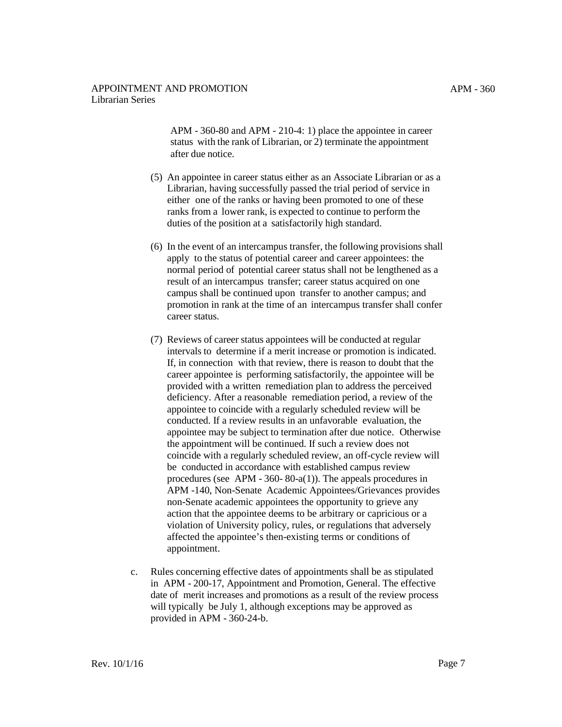APM - 360-80 and APM - [210-4:](http://www.ucop.edu/academic-personnel-programs/_files/apm/apm-210.pdf) 1) place the appointee in career status with the rank of Librarian, or 2) terminate the appointment after due notice.

- (5) An appointee in career status either as an Associate Librarian or as a Librarian, having successfully passed the trial period of service in either one of the ranks or having been promoted to one of these ranks from a lower rank, is expected to continue to perform the duties of the position at a satisfactorily high standard.
- (6) In the event of an intercampus transfer, the following provisions shall apply to the status of potential career and career appointees: the normal period of potential career status shall not be lengthened as a result of an intercampus transfer; career status acquired on one campus shall be continued upon transfer to another campus; and promotion in rank at the time of an intercampus transfer shall confer career status.
- (7) Reviews of career status appointees will be conducted at regular intervals to determine if a merit increase or promotion is indicated. If, in connection with that review, there is reason to doubt that the career appointee is performing satisfactorily, the appointee will be provided with a written remediation plan to address the perceived deficiency. After a reasonable remediation period, a review of the appointee to coincide with a regularly scheduled review will be conducted. If a review results in an unfavorable evaluation, the appointee may be subject to termination after due notice. Otherwise the appointment will be continued. If such a review does not coincide with a regularly scheduled review, an off-cycle review will be conducted in accordance with established campus review procedures (see APM - 360- 80-a(1)). The appeals procedures in [APM](http://www.ucop.edu/academic-personnel-programs/_files/apm/apm-140.pdf) -140, Non-Senate Academic Appointees/Grievances provides non-Senate academic appointees the opportunity to grieve any action that the appointee deems to be arbitrary or capricious or a violation of University policy, rules, or regulations that adversely affected the appointee's then-existing terms or conditions of appointment.
- c. Rules concerning effective dates of appointments shall be as stipulated in APM - [200-17,](http://www.ucop.edu/academic-personnel-programs/_files/apm/apm-200.pdf) Appointment and Promotion, General. The effective date of merit increases and promotions as a result of the review process will typically be July 1, although exceptions may be approved as provided in APM - 360-24-b.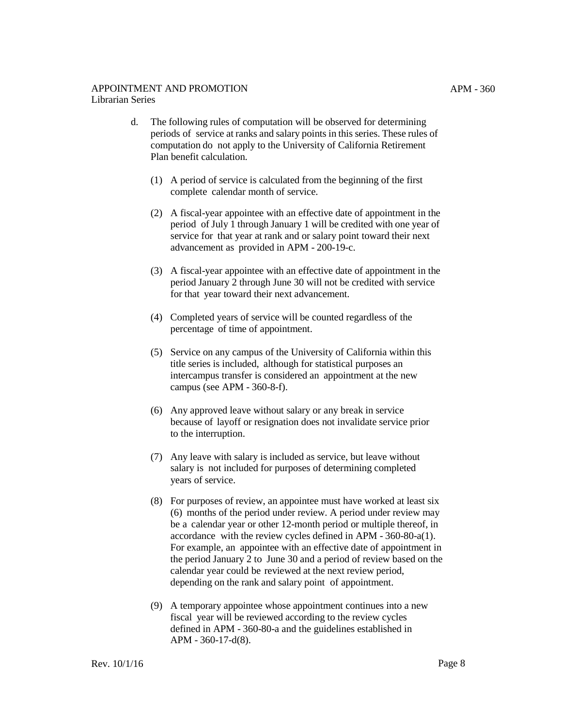- d. The following rules of computation will be observed for determining periods of service at ranks and salary points in this series. These rules of computation do not apply to the University of California Retirement Plan benefit calculation.
	- (1) A period of service is calculated from the beginning of the first complete calendar month of service.
	- (2) A fiscal-year appointee with an effective date of appointment in the period of July 1 through January 1 will be credited with one year of service for that year at rank and or salary point toward their next advancement as provided in APM - [200-19-c.](http://www.ucop.edu/academic-personnel-programs/_files/apm/apm-200.pdf)
	- (3) A fiscal-year appointee with an effective date of appointment in the period January 2 through June 30 will not be credited with service for that year toward their next advancement.
	- (4) Completed years of service will be counted regardless of the percentage of time of appointment.
	- (5) Service on any campus of the University of California within this title series is included, although for statistical purposes an intercampus transfer is considered an appointment at the new campus (see APM - 360-8-f).
	- (6) Any approved leave without salary or any break in service because of layoff or resignation does not invalidate service prior to the interruption.
	- (7) Any leave with salary is included as service, but leave without salary is not included for purposes of determining completed years of service.
	- (8) For purposes of review, an appointee must have worked at least six (6) months of the period under review. A period under review may be a calendar year or other 12-month period or multiple thereof, in accordance with the review cycles defined in APM - 360-80-a(1). For example, an appointee with an effective date of appointment in the period January 2 to June 30 and a period of review based on the calendar year could be reviewed at the next review period, depending on the rank and salary point of appointment.
	- (9) A temporary appointee whose appointment continues into a new fiscal year will be reviewed according to the review cycles defined in APM - 360-80-a and the guidelines established in APM - 360-17-d(8).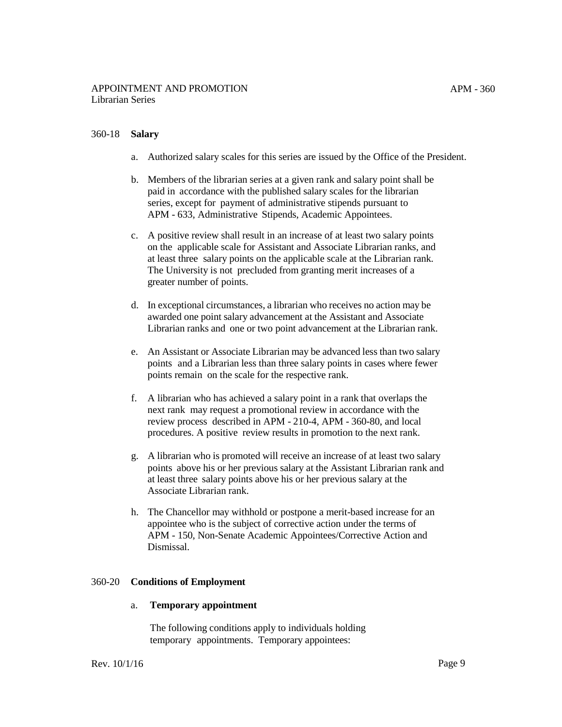## 360-18 **Salary**

- a. Authorized salary scales for this series are issued by the Office of the President.
- b. Members of the librarian series at a given rank and salary point shall be paid in accordance with the published salary scales for the librarian series, except for payment of administrative stipends pursuant to APM - [633, Administrative](http://www.ucop.edu/academic-personnel-programs/_files/apm/apm-633.pdf) Stipends, Academic Appointees.
- c. A positive review shall result in an increase of at least two salary points on the applicable scale for Assistant and Associate Librarian ranks, and at least three salary points on the applicable scale at the Librarian rank. The University is not precluded from granting merit increases of a greater number of points.
- d. In exceptional circumstances, a librarian who receives no action may be awarded one point salary advancement at the Assistant and Associate Librarian ranks and one or two point advancement at the Librarian rank.
- e. An Assistant or Associate Librarian may be advanced less than two salary points and a Librarian less than three salary points in cases where fewer points remain on the scale for the respective rank.
- f. A librarian who has achieved a salary point in a rank that overlaps the next rank may request a promotional review in accordance with the review process described in APM - [210-4,](http://www.ucop.edu/academic-personnel-programs/_files/apm/apm-210.pdf) APM - 360-80, and local procedures. A positive review results in promotion to the next rank.
- g. A librarian who is promoted will receive an increase of at least two salary points above his or her previous salary at the Assistant Librarian rank and at least three salary points above his or her previous salary at the Associate Librarian rank.
- h. The Chancellor may withhold or postpone a merit-based increase for an appointee who is the subject of corrective action under the terms of APM - [150, Non-Senate Academic Appointees/Corrective Action and](http://www.ucop.edu/academic-personnel-programs/_files/apm/apm-150.pdf)  Dismissal.

#### 360-20 **Conditions of Employment**

#### a. **Temporary appointment**

The following conditions apply to individuals holding temporary appointments. Temporary appointees: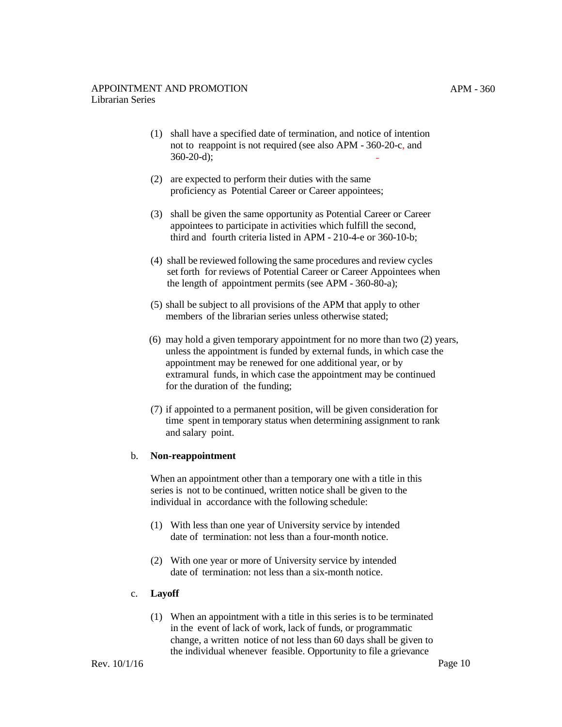- (1) shall have a specified date of termination, and notice of intention not to reappoint is not required (see also APM - 360-20-c, and 360-20-d);
- (2) are expected to perform their duties with the same proficiency as Potential Career or Career appointees;
- (3) shall be given the same opportunity as Potential Career or Career appointees to participate in activities which fulfill the second, third and fourth criteria listed in [APM - 210-4-e](http://www.ucop.edu/academic-personnel-programs/_files/apm/apm-210.pdf) or 360-10-b;
- (4) shall be reviewed following the same procedures and review cycles set forth for reviews of Potential Career or Career Appointees when the length of appointment permits (see APM - 360-80-a);
- (5) shall be subject to all provisions of the APM that apply to other members of the librarian series unless otherwise stated;
- (6) may hold a given temporary appointment for no more than two (2) years, unless the appointment is funded by external funds, in which case the appointment may be renewed for one additional year, or by extramural funds, in which case the appointment may be continued for the duration of the funding;
- (7) if appointed to a permanent position, will be given consideration for time spent in temporary status when determining assignment to rank and salary point.

#### b. **Non-reappointment**

When an appointment other than a temporary one with a title in this series is not to be continued, written notice shall be given to the individual in accordance with the following schedule:

- (1) With less than one year of University service by intended date of termination: not less than a four-month notice.
- (2) With one year or more of University service by intended date of termination: not less than a six-month notice.

#### c. **Layoff**

(1) When an appointment with a title in this series is to be terminated in the event of lack of work, lack of funds, or programmatic change, a written notice of not less than 60 days shall be given to the individual whenever feasible. Opportunity to file a grievance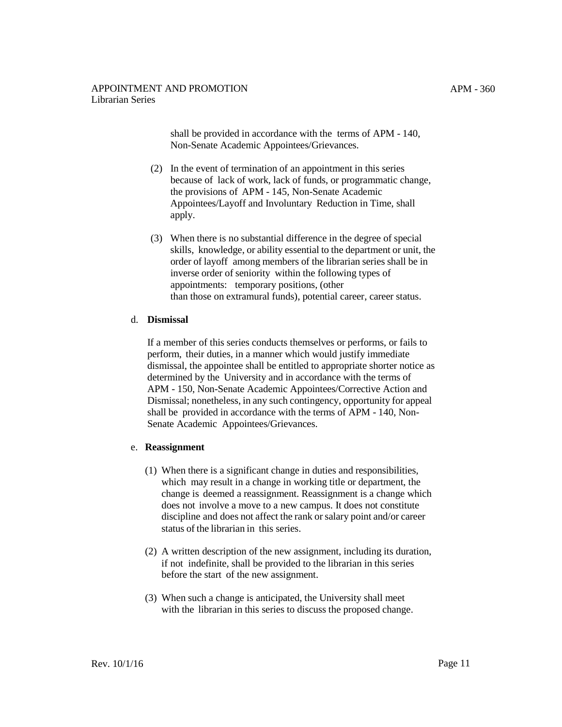shall be provided in accordance with the terms of APM - 140, Non-Senate Academic [Appointees/Grievances.](http://www.ucop.edu/academic-personnel-programs/_files/apm/apm-140.pdf)

- (2) In the event of termination of an appointment in this series because of lack of work, lack of funds, or programmatic change, the [provisions of APM - 145, Non-Senate](http://www.ucop.edu/academic-personnel-programs/_files/apm/apm-145.pdf) Academic Appointees/Layoff and Involuntary Reduction in Time, shall apply.
- (3) When there is no substantial difference in the degree of special skills, knowledge, or ability essential to the department or unit, the order of layoff among members of the librarian series shall be in inverse order of seniority within the following types of appointments: temporary positions, (other than those on extramural funds), potential career, career status.

### d. **Dismissal**

If a member of this series conducts themselves or performs, or fails to perform, their duties, in a manner which would justify immediate dismissal, the appointee shall be entitled to appropriate shorter notice as determined by the University and in accordance with the terms of [APM - 150, Non-Senate Academic Appointees/Corrective Action and](http://www.ucop.edu/academic-personnel-programs/_files/apm/apm-150.pdf)  Dismissal; nonetheless, in any such contingency, opportunity for appeal shall be provided in accordance with the terms of APM - 140, Non-Senate Academic Appointees/Grievances.

#### e. **Reassignment**

- (1) When there is a significant change in duties and responsibilities, which may result in a change in working title or department, the change is deemed a reassignment. Reassignment is a change which does not involve a move to a new campus. It does not constitute discipline and does not affect the rank or salary point and/or career status of the librarian in this series.
- (2) A written description of the new assignment, including its duration, if not indefinite, shall be provided to the librarian in this series before the start of the new assignment.
- (3) When such a change is anticipated, the University shall meet with the librarian in this series to discuss the proposed change.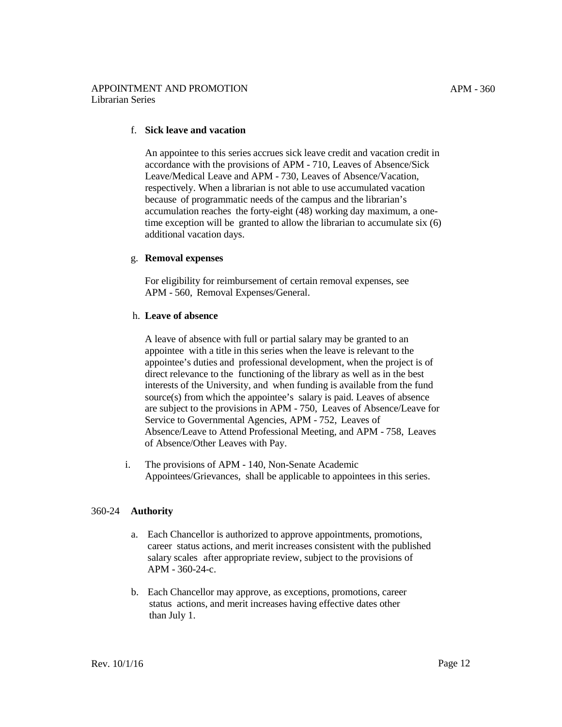## f. **Sick leave and vacation**

An appointee to this series accrues sick leave credit and vacation credit in accordance with the provisions of [APM](http://www.ucop.edu/academic-personnel-programs/_files/apm/apm-710.pdf) - 710, Leaves of Absence/Sick Leave/Medical Leave and [APM](http://www.ucop.edu/academic-personnel-programs/_files/apm/apm-730.pdf) - 730, Leaves of Absence/Vacation, respectively. When a librarian is not able to use accumulated vacation because of programmatic needs of the campus and the librarian's accumulation reaches the forty-eight (48) working day maximum, a onetime exception will be granted to allow the librarian to accumulate six (6) additional vacation days.

### g. **Removal expenses**

For eligibility for reimbursement of certain removal expenses, see APM - 560, Removal [Expenses/General.](http://www.ucop.edu/academic-personnel-programs/_files/apm/apm-560.pdf)

### h. **Leave of absence**

A leave of absence with full or partial salary may be granted to an appointee with a title in this series when the leave is relevant to the appointee's duties and professional development, when the project is of direct relevance to the functioning of the library as well as in the best interests of the University, and when funding is available from the fund source(s) from which the appointee's salary is paid. Leaves of absence are subject to the provisions i[n APM](http://www.ucop.edu/academic-personnel-programs/_files/apm/apm-750.pdf) - 750, Leaves of Absence/Leave for Service to Governmental Agencies, [APM](http://www.ucop.edu/academic-personnel-programs/_files/apm/apm-752.pdf) - 752, Leaves of Absence/Leave to Attend Professional Meeting, and [APM](http://www.ucop.edu/academic-personnel-programs/_files/apm/apm-758.pdf) - 758, Leaves of Absence/Other Leaves with Pay.

i. The provisions of [APM](http://www.ucop.edu/academic-personnel-programs/_files/apm/apm-140.pdf) - 140, Non-Senate Academic Appointees/Grievances, shall be applicable to appointees in this series.

## 360-24 **Authority**

- a. Each Chancellor is authorized to approve appointments, promotions, career status actions, and merit increases consistent with the published salary scales after appropriate review, subject to the provisions of APM - 360-24-c.
- b. Each Chancellor may approve, as exceptions, promotions, career status actions, and merit increases having effective dates other than July 1.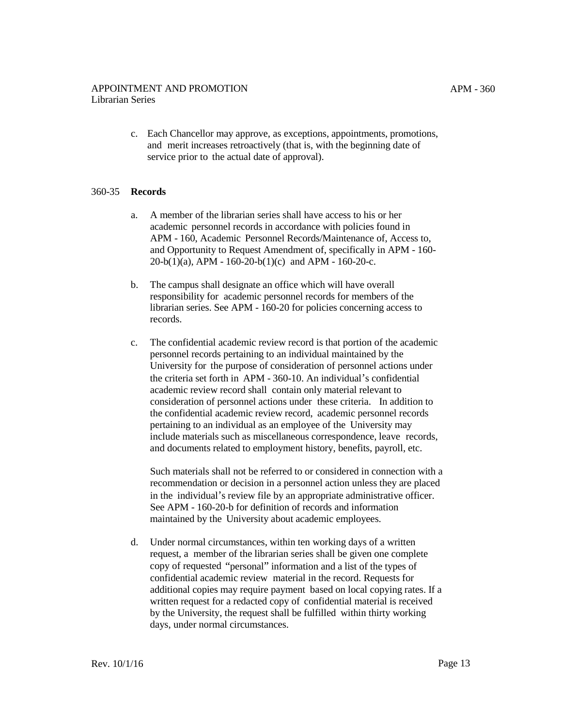c. Each Chancellor may approve, as exceptions, appointments, promotions, and merit increases retroactively (that is, with the beginning date of service prior to the actual date of approval).

### 360-35 **Records**

- a. A member of the librarian series shall have access to his or her academic personnel records in accordance with policies found in APM - 160, Academic Personnel Records/Maintenance of, Access to, [and Opportunity](http://www.ucop.edu/academic-personnel-programs/_files/apm/apm-160.pdf) to Request Amendment of, specifically in APM - 160-  $20-b(1)(a)$ , APM - 160-20-b(1)(c) and APM - 160-20-c.
- b. The campus shall designate an office which will have overall responsibility for academic personnel records for members of the librarian series. See APM - [160-20](http://www.ucop.edu/academic-personnel-programs/_files/apm/apm-160.pdf) for policies concerning access to records.
- c. The confidential academic review record is that portion of the academic personnel records pertaining to an individual maintained by the University for the purpose of consideration of personnel actions under the criteria set forth in APM - 360-10. An individual's confidential academic review record shall contain only material relevant to consideration of personnel actions under these criteria. In addition to the confidential academic review record, academic personnel records pertaining to an individual as an employee of the University may include materials such as miscellaneous correspondence, leave records, and documents related to employment history, benefits, payroll, etc.

Such materials shall not be referred to or considered in connection with a recommendation or decision in a personnel action unless they are placed in the individual's review file by an appropriate administrative officer. See APM - [160-20-b](http://www.ucop.edu/academic-personnel-programs/_files/apm/apm-160.pdf) for definition of records and information maintained by the University about academic employees.

d. Under normal circumstances, within ten working days of a written request, a member of the librarian series shall be given one complete copy of requested "personal" information and a list of the types of confidential academic review material in the record. Requests for additional copies may require payment based on local copying rates. If a written request for a redacted copy of confidential material is received by the University, the request shall be fulfilled within thirty working days, under normal circumstances.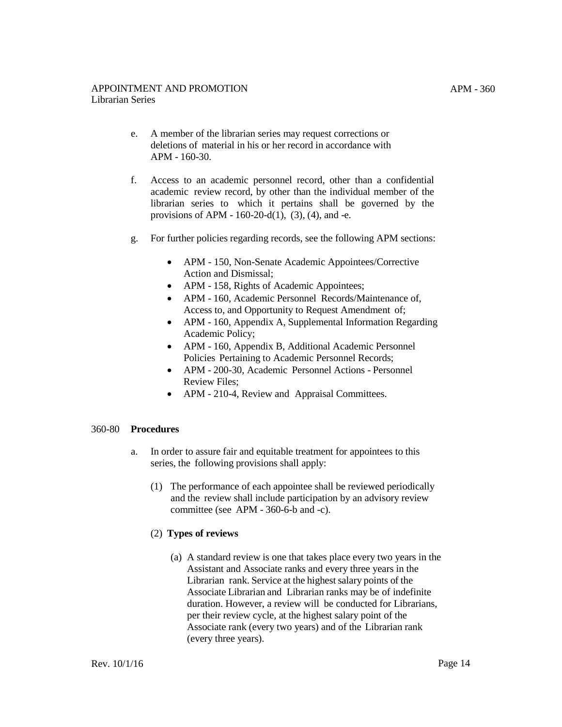- e. A member of the librarian series may request corrections or deletions of material in his or her record in accordance with APM - [160-30.](http://www.ucop.edu/academic-personnel-programs/_files/apm/apm-160.pdf)
- f. Access to an academic personnel record, other than a confidential academic review record, by other than the individual member of the librarian series to which it pertains shall be governed by the provisions of APM -  $160-20-d(1)$ , (3), (4), and -e.
- g. For further policies regarding records, see the following APM sections:
	- [APM -](http://www.ucop.edu/academic-personnel-programs/_files/apm/apm-150.pdf) 150, Non-Senate Academic Appointees/Corrective Action and Dismissal;
	- [APM](http://www.ucop.edu/academic-personnel-programs/_files/apm/apm-158.pdf) 158, Rights of Academic Appointees;
	- [APM](http://www.ucop.edu/academic-personnel-programs/_files/apm/apm-160.pdf) 160, Academic Personnel Records/Maintenance of, Access to, and Opportunity to Request Amendment of;
	- [APM](http://www.ucop.edu/academic-personnel-programs/_files/apm/apm-160.pdf) 160, Appendix A, Supplemental Information Regarding Academic Policy;
	- [APM](http://www.ucop.edu/academic-personnel-programs/_files/apm/apm-160.pdf) 160, Appendix B, Additional Academic Personnel Policies Pertaining to Academic Personnel Records;
	- APM [200-30,](http://www.ucop.edu/academic-personnel-programs/_files/apm/apm-200.pdf) Academic Personnel Actions Personnel Review Files;
	- APM [210-4,](http://www.ucop.edu/academic-personnel-programs/_files/apm/apm-210.pdf) Review and Appraisal Committees.

## 360-80 **Procedures**

- a. In order to assure fair and equitable treatment for appointees to this series, the following provisions shall apply:
	- (1) The performance of each appointee shall be reviewed periodically and the review shall include participation by an advisory review committee (see APM - 360-6-b and -c).

## (2) **Types of reviews**

(a) A standard review is one that takes place every two years in the Assistant and Associate ranks and every three years in the Librarian rank. Service at the highest salary points of the Associate Librarian and Librarian ranks may be of indefinite duration. However, a review will be conducted for Librarians, per their review cycle, at the highest salary point of the Associate rank (every two years) and of the Librarian rank (every three years).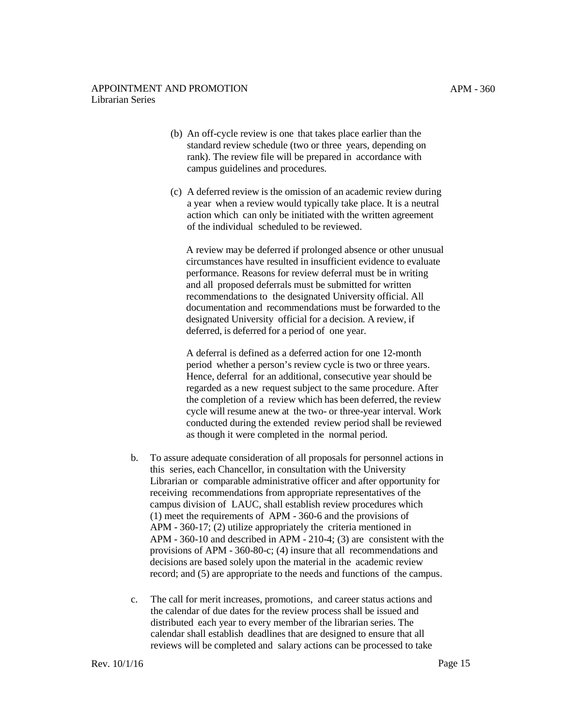- (b) An off-cycle review is one that takes place earlier than the standard review schedule (two or three years, depending on rank). The review file will be prepared in accordance with campus guidelines and procedures.
- (c) A deferred review is the omission of an academic review during a year when a review would typically take place. It is a neutral action which can only be initiated with the written agreement of the individual scheduled to be reviewed.

A review may be deferred if prolonged absence or other unusual circumstances have resulted in insufficient evidence to evaluate performance. Reasons for review deferral must be in writing and all proposed deferrals must be submitted for written recommendations to the designated University official. All documentation and recommendations must be forwarded to the designated University official for a decision. A review, if deferred, is deferred for a period of one year.

A deferral is defined as a deferred action for one 12-month period whether a person's review cycle is two or three years. Hence, deferral for an additional, consecutive year should be regarded as a new request subject to the same procedure. After the completion of a review which has been deferred, the review cycle will resume anew at the two- or three-year interval. Work conducted during the extended review period shall be reviewed as though it were completed in the normal period.

- b. To assure adequate consideration of all proposals for personnel actions in this series, each Chancellor, in consultation with the University Librarian or comparable administrative officer and after opportunity for receiving recommendations from appropriate representatives of the campus division of LAUC, shall establish review procedures which (1) meet the requirements of APM - 360-6 and the provisions of APM - 360-17; (2) utilize appropriately the criteria mentioned in APM - 360-10 and described in APM - [210-4;](http://www.ucop.edu/academic-personnel-programs/_files/apm/apm-210.pdf) (3) are consistent with the provisions of APM - 360-80-c; (4) insure that all recommendations and decisions are based solely upon the material in the academic review record; and (5) are appropriate to the needs and functions of the campus.
- c. The call for merit increases, promotions, and career status actions and the calendar of due dates for the review process shall be issued and distributed each year to every member of the librarian series. The calendar shall establish deadlines that are designed to ensure that all reviews will be completed and salary actions can be processed to take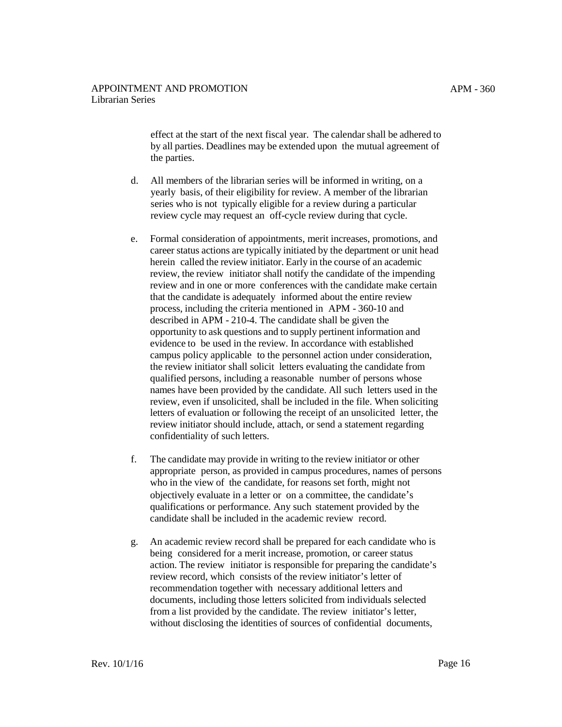effect at the start of the next fiscal year. The calendar shall be adhered to by all parties. Deadlines may be extended upon the mutual agreement of the parties.

- d. All members of the librarian series will be informed in writing, on a yearly basis, of their eligibility for review. A member of the librarian series who is not typically eligible for a review during a particular review cycle may request an off-cycle review during that cycle.
- e. Formal consideration of appointments, merit increases, promotions, and career status actions are typically initiated by the department or unit head herein called the review initiator. Early in the course of an academic review, the review initiator shall notify the candidate of the impending review and in one or more conferences with the candidate make certain that the candidate is adequately informed about the entire review process, including the criteria mentioned in APM - 360-10 and described i[n APM](http://www.ucop.edu/academic-personnel-programs/_files/apm/apm-210.pdf) - 210-4. The candidate shall be given the opportunity to ask questions and to supply pertinent information and evidence to be used in the review. In accordance with established campus policy applicable to the personnel action under consideration, the review initiator shall solicit letters evaluating the candidate from qualified persons, including a reasonable number of persons whose names have been provided by the candidate. All such letters used in the review, even if unsolicited, shall be included in the file. When soliciting letters of evaluation or following the receipt of an unsolicited letter, the review initiator should include, attach, or send a statement regarding confidentiality of such letters.
- f. The candidate may provide in writing to the review initiator or other appropriate person, as provided in campus procedures, names of persons who in the view of the candidate, for reasons set forth, might not objectively evaluate in a letter or on a committee, the candidate's qualifications or performance. Any such statement provided by the candidate shall be included in the academic review record.
- g. An academic review record shall be prepared for each candidate who is being considered for a merit increase, promotion, or career status action. The review initiator is responsible for preparing the candidate's review record, which consists of the review initiator's letter of recommendation together with necessary additional letters and documents, including those letters solicited from individuals selected from a list provided by the candidate. The review initiator's letter, without disclosing the identities of sources of confidential documents,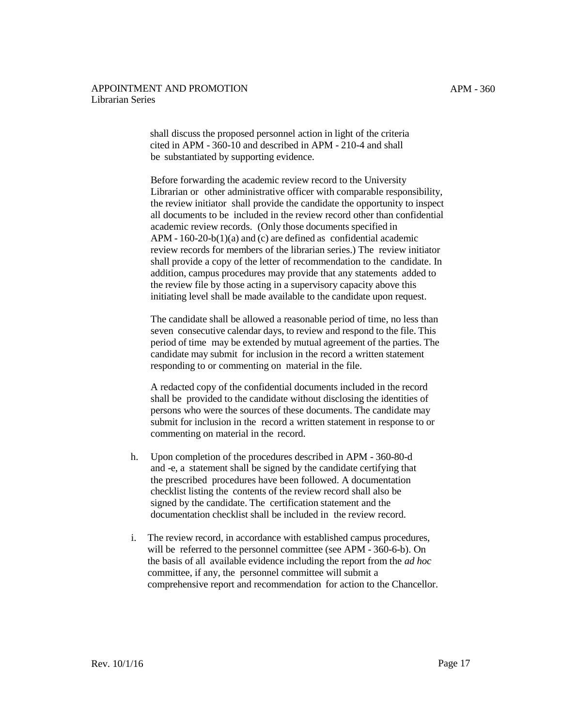shall discuss the proposed personnel action in light of the criteria cited in APM - 360-10 and described in APM - [210-4](http://www.ucop.edu/academic-personnel-programs/_files/apm/apm-210.pdf) and shall be substantiated by supporting evidence.

Before forwarding the academic review record to the University Librarian or other administrative officer with comparable responsibility, the review initiator shall provide the candidate the opportunity to inspect all documents to be included in the review record other than confidential academic review records. (Only those documents specified in APM - [160-20-b\(1\)\(a\)](http://www.ucop.edu/academic-personnel-programs/_files/apm/apm-160.pdf) and (c) are defined as confidential academic review records for members of the librarian series.) The review initiator shall provide a copy of the letter of recommendation to the candidate. In addition, campus procedures may provide that any statements added to the review file by those acting in a supervisory capacity above this initiating level shall be made available to the candidate upon request.

The candidate shall be allowed a reasonable period of time, no less than seven consecutive calendar days, to review and respond to the file. This period of time may be extended by mutual agreement of the parties. The candidate may submit for inclusion in the record a written statement responding to or commenting on material in the file.

A redacted copy of the confidential documents included in the record shall be provided to the candidate without disclosing the identities of persons who were the sources of these documents. The candidate may submit for inclusion in the record a written statement in response to or commenting on material in the record.

- h. Upon completion of the procedures described in APM 360-80-d and -e, a statement shall be signed by the candidate certifying that the prescribed procedures have been followed. A documentation checklist listing the contents of the review record shall also be signed by the candidate. The certification statement and the documentation checklist shall be included in the review record.
- i. The review record, in accordance with established campus procedures, will be referred to the personnel committee (see APM - 360-6-b). On the basis of all available evidence including the report from the *ad hoc*  committee, if any, the personnel committee will submit a comprehensive report and recommendation for action to the Chancellor.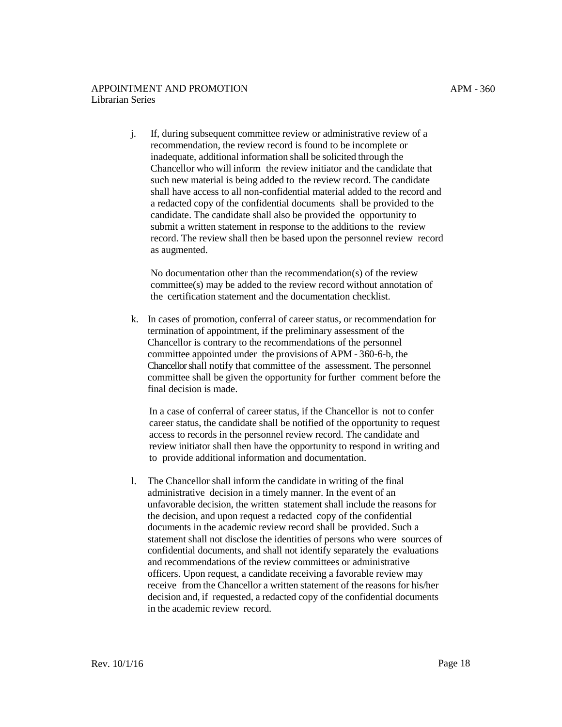j. If, during subsequent committee review or administrative review of a recommendation, the review record is found to be incomplete or inadequate, additional information shall be solicited through the Chancellor who will inform the review initiator and the candidate that such new material is being added to the review record. The candidate shall have access to all non-confidential material added to the record and

a redacted copy of the confidential documents shall be provided to the candidate. The candidate shall also be provided the opportunity to submit a written statement in response to the additions to the review record. The review shall then be based upon the personnel review record as augmented.

No documentation other than the recommendation(s) of the review committee(s) may be added to the review record without annotation of the certification statement and the documentation checklist.

k. In cases of promotion, conferral of career status, or recommendation for termination of appointment, if the preliminary assessment of the Chancellor is contrary to the recommendations of the personnel committee appointed under the provisions of APM - 360-6-b, the Chancellor shall notify that committee of the assessment. The personnel committee shall be given the opportunity for further comment before the final decision is made.

In a case of conferral of career status, if the Chancellor is not to confer career status, the candidate shall be notified of the opportunity to request access to records in the personnel review record. The candidate and review initiator shall then have the opportunity to respond in writing and to provide additional information and documentation.

l. The Chancellor shall inform the candidate in writing of the final administrative decision in a timely manner. In the event of an unfavorable decision, the written statement shall include the reasons for the decision, and upon request a redacted copy of the confidential documents in the academic review record shall be provided. Such a statement shall not disclose the identities of persons who were sources of confidential documents, and shall not identify separately the evaluations and recommendations of the review committees or administrative officers. Upon request, a candidate receiving a favorable review may receive from the Chancellor a written statement of the reasons for his/her decision and, if requested, a redacted copy of the confidential documents in the academic review record.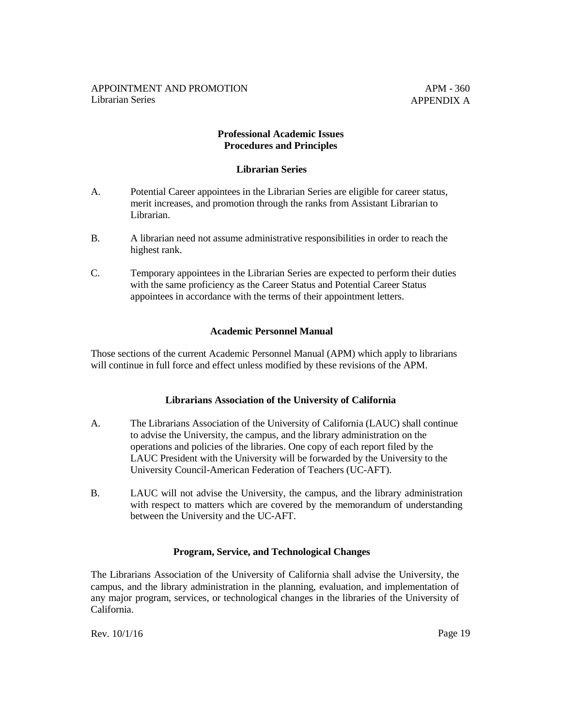APM - 360 APPENDIX A

## **Professional Academic Issues Procedures and Principles**

### **Librarian Series**

- A. Potential Career appointees in the Librarian Series are eligible for career status, merit increases, and promotion through the ranks from Assistant Librarian to Librarian.
- B. A librarian need not assume administrative responsibilities in order to reach the highest rank.
- C. Temporary appointees in the Librarian Series are expected to perform their duties with the same proficiency as the Career Status and Potential Career Status appointees in accordance with the terms of their appointment letters.

## **Academic Personnel Manual**

Those sections of the current Academic Personnel Manual (APM) which apply to librarians will continue in full force and effect unless modified by these revisions of the APM.

#### **Librarians Association of the University of California**

- A. The Librarians Association of the University of California (LAUC) shall continue to advise the University, the campus, and the library administration on the operations and policies of the libraries. One copy of each report filed by the LAUC President with the University will be forwarded by the University to the University Council-American Federation of Teachers (UC-AFT).
- B. LAUC will not advise the University, the campus, and the library administration with respect to matters which are covered by the memorandum of understanding between the University and the UC-AFT.

#### **Program, Service, and Technological Changes**

The Librarians Association of the University of California shall advise the University, the campus, and the library administration in the planning, evaluation, and implementation of any major program, services, or technological changes in the libraries of the University of California.

Rev. 10/1/16 Page 19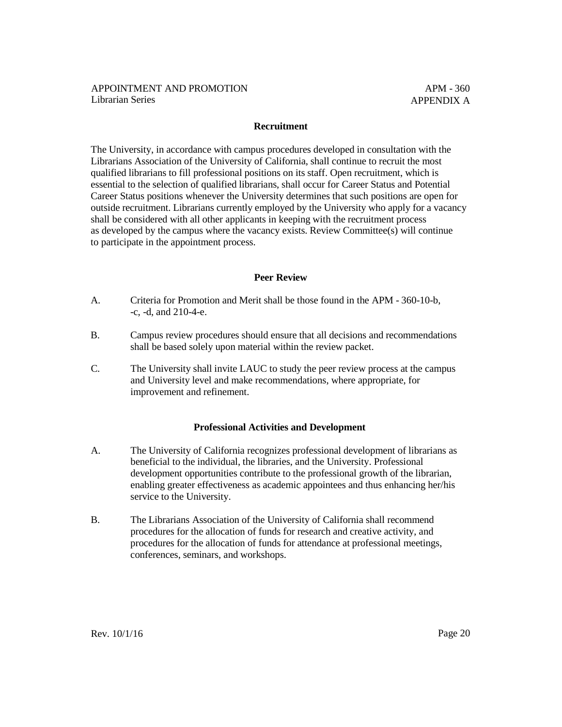### **Recruitment**

The University, in accordance with campus procedures developed in consultation with the Librarians Association of the University of California, shall continue to recruit the most qualified librarians to fill professional positions on its staff. Open recruitment, which is essential to the selection of qualified librarians, shall occur for Career Status and Potential Career Status positions whenever the University determines that such positions are open for outside recruitment. Librarians currently employed by the University who apply for a vacancy shall be considered with all other applicants in keeping with the recruitment process as developed by the campus where the vacancy exists. Review Committee(s) will continue to participate in the appointment process.

### **Peer Review**

- A. Criteria for Promotion and Merit shall be those found in the APM 360-10-b, -c, -d, and 210-4-e.
- B. Campus review procedures should ensure that all decisions and recommendations shall be based solely upon material within the review packet.
- C. The University shall invite LAUC to study the peer review process at the campus and University level and make recommendations, where appropriate, for improvement and refinement.

## **Professional Activities and Development**

- A. The University of California recognizes professional development of librarians as beneficial to the individual, the libraries, and the University. Professional development opportunities contribute to the professional growth of the librarian, enabling greater effectiveness as academic appointees and thus enhancing her/his service to the University.
- B. The Librarians Association of the University of California shall recommend procedures for the allocation of funds for research and creative activity, and procedures for the allocation of funds for attendance at professional meetings, conferences, seminars, and workshops.